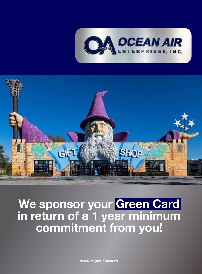



We sponsor your Green Card in return of a 1 year minimum commitment from you!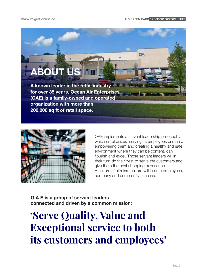**OA** 

# **ABOUT U**

A known leader in the retail industry for over 35 years, Ocean Air Enterprises (OAE) is a family-owned and operated organization with more than 200,000 sq ft of retail space.



OAE implements a servant leadership philosophy which emphasizes serving its employees primarily, empowering them and creating a healthy and safe environment where they can be content, can flourish and excel. Those servant leaders will in their turn do their best to serve the customers and give them the best shopping experience. A culture of altruism culture will lead to employees, company and community success.

O A E is a group of servant leaders connected and driven by a common mission:

## **'Serve Quality, Value and Exceptional service to both its customers and employees'**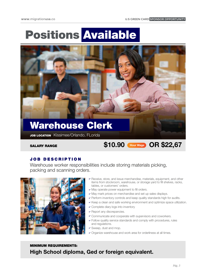# Positions Available



### Warehouse Clerk

JOB LOCATION Kissimee/Orlando, FLorida

### Hour Wage SALARY RANGE \$10.90 OR \$22,67

#### JOB DESCRIPTION

Warehouse worker responsibilities include storing materials picking, packing and scanning orders.



- Receive, store, and issue merchandise, materials, equipment, and other items from stockroom, warehouse, or storage yard to fill shelves, racks, tables, or customers' orders.
- May operate power equipment to fill orders.
- May mark prices on merchandise and set up sales displays.
- Perform inventory controls and keep quality standards high for audits.
- Keep a clean and safe working environment and optimize space utilization.
- Complete diary logs into inventory
- **Exercise A** Report any discrepancies.
- Communicate and cooperate with supervisors and coworkers.
- Follow quality service standards and comply with procedures, rules and regulations.
- Sweep, dust and mop.
- Organize warehouse and work area for orderliness at all times.

#### MINIMUM REQUIREMENTS: High School diploma, Ged or foreign equivalent.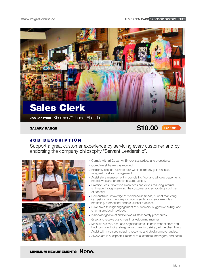

#### JOB DESCRIPTION

Support a great customer experience by servicing every customer and by endorsing the company philosophy "Servant Leadership".



- Comply with all Ocean Air Enterprises polices and procedures.
- Complete all training as required.
- Efficiently execute all store task within company guidelines as assigned by store management.
- Assist store management in completing floor and window placements, markdowns and promotions as requested.
- Practice Loss Prevention awareness and drives reducing internal shrinkage through servicing the customer and supporting a culture of honesty.
- Demonstrate knowledge of merchandise trends, current marketing campaings, and in-store promotions and consistently executes marketing, promotional and visual best practices.
- Drive sales through engagement of customers, suggestive selling, and sharing product knowledge.
- Is knowledgeable of and follows all store safety procedures.
- Greet and receive customers in a welcoming manner.
- Maintain a clean, neat and organized stock in both front of store and backrooms including straightening, hanging, sizing, ad merchandising.
- Assist with inventory, including receiving and stocking merchandise.
- Always act in a respectfull manner to customers, managers, and peers.

MINIMUM REQUIREMENTS: None.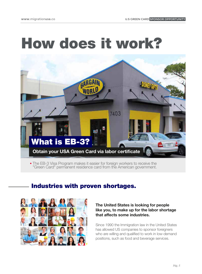

The EB-3 Visa Program makes it easier for foreign workers to receive the "Green Card" permanent residence card from the American government.

#### Industries with proven shortages.



#### The United States is looking for people like you, to make up for the labor shortage that affects some industries.

Since 1990 the Immigration law in the United States has allowed US companies to sponsor foreigners who are willing and qualified to work in low-demand positions, such as food and beverage services.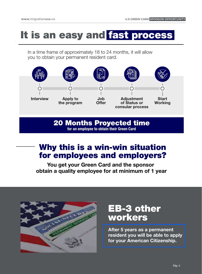# It is an easy and fast process

In a time frame of approximately 18 to 24 months, it will allow you to obtain your permanent resident card.



20 Months Proyected time

for an employee to obtain their Green Card

### Why this is a win-win situation for employees and employers?

You get your Green Card and the sponsor obtain a quality employee for at minimum of 1 year



### EB-3 other workers

After 5 years as a permanent resident you will be able to apply for your American Citizenship.